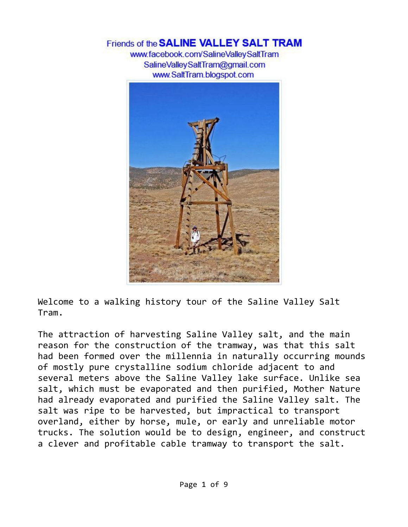## Friends of the **SALINE VALLEY SALT TRAM**

www.facebook.com/SalineValleySaltTram SalineValleySaltTram@gmail.com www.SaltTram.blogspot.com



Welcome to a walking history tour of the Saline Valley Salt Tram.

The attraction of harvesting Saline Valley salt, and the main reason for the construction of the tramway, was that this salt had been formed over the millennia in naturally occurring mounds of mostly pure crystalline sodium chloride adjacent to and several meters above the Saline Valley lake surface. Unlike sea salt, which must be evaporated and then purified, Mother Nature had already evaporated and purified the Saline Valley salt. The salt was ripe to be harvested, but impractical to transport overland, either by horse, mule, or early and unreliable motor trucks. The solution would be to design, engineer, and construct a clever and profitable cable tramway to transport the salt.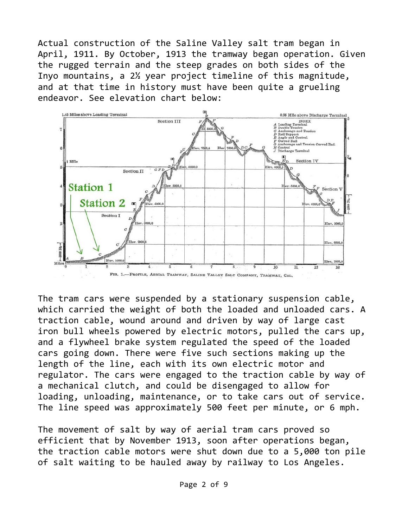Actual construction of the Saline Valley salt tram began in April, 1911. By October, 1913 the tramway began operation. Given the rugged terrain and the steep grades on both sides of the Inyo mountains, a 2½ year project timeline of this magnitude, and at that time in history must have been quite a grueling endeavor. See elevation chart below:



The tram cars were suspended by a stationary suspension cable, which carried the weight of both the loaded and unloaded cars. A traction cable, wound around and driven by way of large cast iron bull wheels powered by electric motors, pulled the cars up, and a flywheel brake system regulated the speed of the loaded cars going down. There were five such sections making up the length of the line, each with its own electric motor and regulator. The cars were engaged to the traction cable by way of a mechanical clutch, and could be disengaged to allow for loading, unloading, maintenance, or to take cars out of service. The line speed was approximately 500 feet per minute, or 6 mph.

The movement of salt by way of aerial tram cars proved so efficient that by November 1913, soon after operations began, the traction cable motors were shut down due to a 5,000 ton pile of salt waiting to be hauled away by railway to Los Angeles.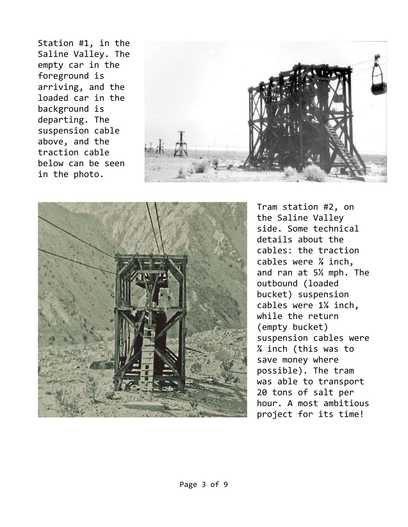Station #1, in the Saline Valley. The empty car in the foreground is arriving, and the loaded car in the background is departing. The suspension cable above, and the traction cable below can be seen in the photo.





Tram station #2, on the Saline Valley side. Some technical details about the cables: the traction cables were ⅞ inch, and ran at 5½ mph. The outbound (loaded bucket) suspension cables were 1⅛ inch, while the return (empty bucket) suspension cables were ⅞ inch (this was to save money where possible). The tram was able to transport 20 tons of salt per hour. A most ambitious project for its time!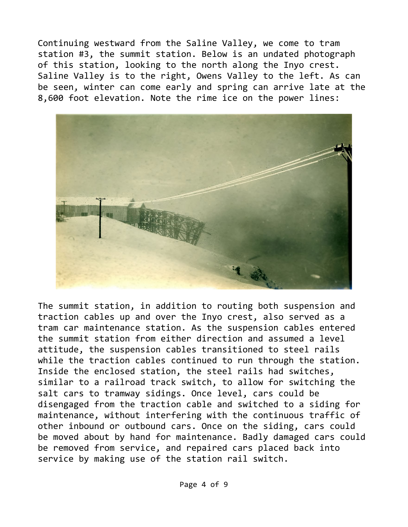Continuing westward from the Saline Valley, we come to tram station #3, the summit station. Below is an undated photograph of this station, looking to the north along the Inyo crest. Saline Valley is to the right, Owens Valley to the left. As can be seen, winter can come early and spring can arrive late at the 8,600 foot elevation. Note the rime ice on the power lines:



The summit station, in addition to routing both suspension and traction cables up and over the Inyo crest, also served as a tram car maintenance station. As the suspension cables entered the summit station from either direction and assumed a level attitude, the suspension cables transitioned to steel rails while the traction cables continued to run through the station. Inside the enclosed station, the steel rails had switches, similar to a railroad track switch, to allow for switching the salt cars to tramway sidings. Once level, cars could be disengaged from the traction cable and switched to a siding for maintenance, without interfering with the continuous traffic of other inbound or outbound cars. Once on the siding, cars could be moved about by hand for maintenance. Badly damaged cars could be removed from service, and repaired cars placed back into service by making use of the station rail switch.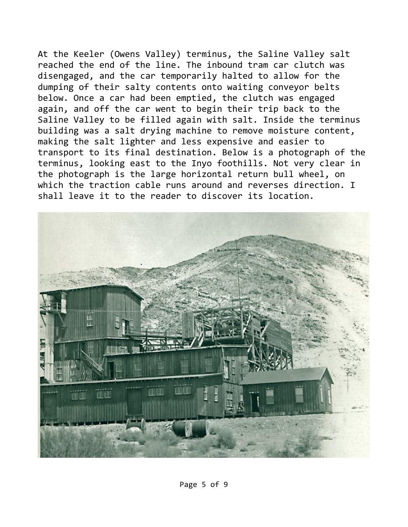At the Keeler (Owens Valley) terminus, the Saline Valley salt reached the end of the line. The inbound tram car clutch was disengaged, and the car temporarily halted to allow for the dumping of their salty contents onto waiting conveyor belts below. Once a car had been emptied, the clutch was engaged again, and off the car went to begin their trip back to the Saline Valley to be filled again with salt. Inside the terminus building was a salt drying machine to remove moisture content, making the salt lighter and less expensive and easier to transport to its final destination. Below is a photograph of the terminus, looking east to the Inyo foothills. Not very clear in the photograph is the large horizontal return bull wheel, on which the traction cable runs around and reverses direction. I shall leave it to the reader to discover its location.

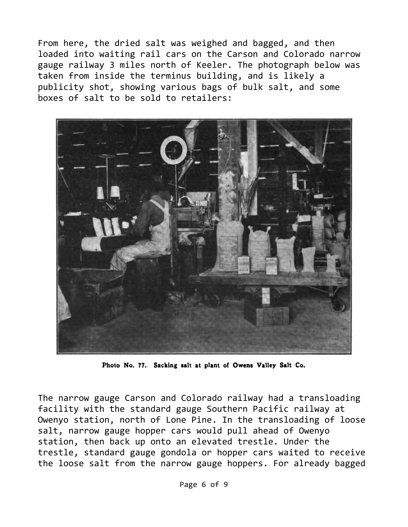From here, the dried salt was weighed and bagged, and then loaded into waiting rail cars on the Carson and Colorado narrow gauge railway 3 miles north of Keeler. The photograph below was taken from inside the terminus building, and is likely a publicity shot, showing various bags of bulk salt, and some boxes of salt to be sold to retailers:



Photo No. 77. Sacking salt at plant of Owens Valley Salt Co.

The narrow gauge Carson and Colorado railway had a transloading facility with the standard gauge Southern Pacific railway at Owenyo station, north of Lone Pine. In the transloading of loose salt, narrow gauge hopper cars would pull ahead of Owenyo station, then back up onto an elevated trestle. Under the trestle, standard gauge gondola or hopper cars waited to receive the loose salt from the narrow gauge hoppers. For already bagged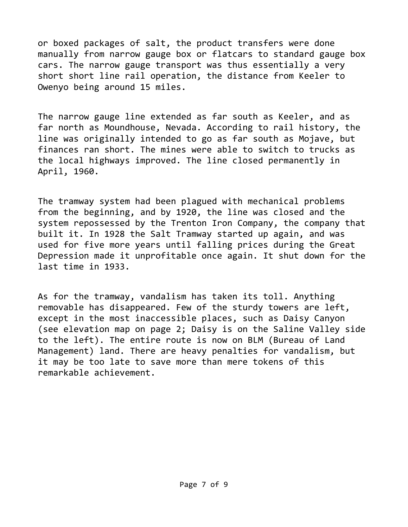or boxed packages of salt, the product transfers were done manually from narrow gauge box or flatcars to standard gauge box cars. The narrow gauge transport was thus essentially a very short short line rail operation, the distance from Keeler to Owenyo being around 15 miles.

The narrow gauge line extended as far south as Keeler, and as far north as Moundhouse, Nevada. According to rail history, the line was originally intended to go as far south as Mojave, but finances ran short. The mines were able to switch to trucks as the local highways improved. The line closed permanently in April, 1960.

The tramway system had been plagued with mechanical problems from the beginning, and by 1920, the line was closed and the system repossessed by the Trenton Iron Company, the company that built it. In 1928 the Salt Tramway started up again, and was used for five more years until falling prices during the Great Depression made it unprofitable once again. It shut down for the last time in 1933.

As for the tramway, vandalism has taken its toll. Anything removable has disappeared. Few of the sturdy towers are left, except in the most inaccessible places, such as Daisy Canyon (see elevation map on page 2; Daisy is on the Saline Valley side to the left). The entire route is now on BLM (Bureau of Land Management) land. There are heavy penalties for vandalism, but it may be too late to save more than mere tokens of this remarkable achievement.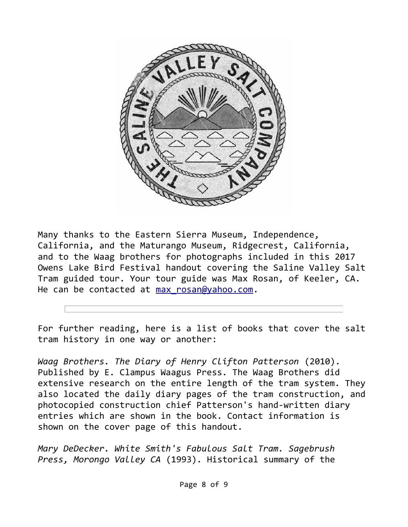

Many thanks to the Eastern Sierra Museum, Independence, California, and the Maturango Museum, Ridgecrest, California, and to the Waag brothers for photographs included in this 2017 Owens Lake Bird Festival handout covering the Saline Valley Salt Tram guided tour. Your tour guide was Max Rosan, of Keeler, CA. He can be contacted at max rosan@yahoo.com.

For further reading, here is a list of books that cover the salt tram history in one way or another:

*Waag Brothers. The Diary of Henry Clifton Patterson* (2010). Published by E. Clampus Waagus Press. The Waag Brothers did extensive research on the entire length of the tram system. They also located the daily diary pages of the tram construction, and photocopied construction chief Patterson's hand-written diary entries which are shown in the book. Contact information is shown on the cover page of this handout.

*Mary DeDecker. White Smith's Fabulous Salt Tram. Sagebrush Press, Morongo Valley CA* (1993). Historical summary of the